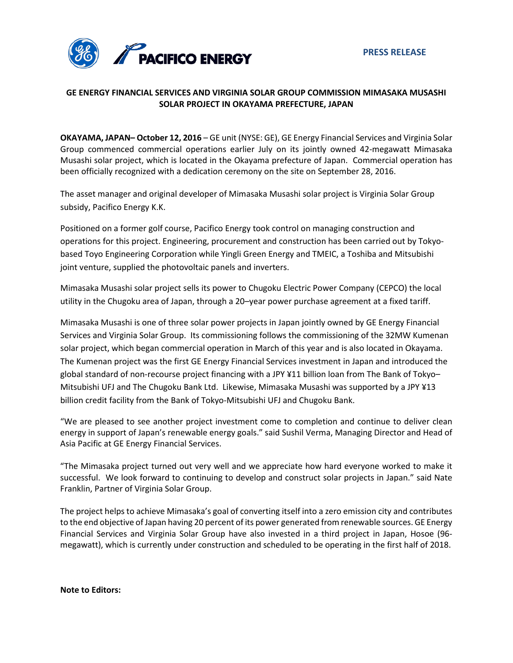

# **GE ENERGY FINANCIAL SERVICES AND VIRGINIA SOLAR GROUP COMMISSION MIMASAKA MUSASHI SOLAR PROJECT IN OKAYAMA PREFECTURE, JAPAN**

**OKAYAMA, JAPAN– October 12, 2016** – GE unit (NYSE: GE), GE Energy Financial Services and Virginia Solar Group commenced commercial operations earlier July on its jointly owned 42-megawatt Mimasaka Musashi solar project, which is located in the Okayama prefecture of Japan. Commercial operation has been officially recognized with a dedication ceremony on the site on September 28, 2016.

The asset manager and original developer of Mimasaka Musashi solar project is Virginia Solar Group subsidy, Pacifico Energy K.K.

Positioned on a former golf course, Pacifico Energy took control on managing construction and operations for this project. Engineering, procurement and construction has been carried out by Tokyobased Toyo Engineering Corporation while Yingli Green Energy and TMEIC, a Toshiba and Mitsubishi joint venture, supplied the photovoltaic panels and inverters.

Mimasaka Musashi solar project sells its power to Chugoku Electric Power Company (CEPCO) the local utility in the Chugoku area of Japan, through a 20–year power purchase agreement at a fixed tariff.

Mimasaka Musashi is one of three solar power projects in Japan jointly owned by GE Energy Financial Services and Virginia Solar Group. Its commissioning follows the commissioning of the 32MW Kumenan solar project, which began commercial operation in March of this year and is also located in Okayama. The Kumenan project was the first GE Energy Financial Services investment in Japan and introduced the global standard of non-recourse project financing with a JPY ¥11 billion loan from The Bank of Tokyo– Mitsubishi UFJ and The Chugoku Bank Ltd. Likewise, Mimasaka Musashi was supported by a JPY ¥13 billion credit facility from the Bank of Tokyo-Mitsubishi UFJ and Chugoku Bank.

"We are pleased to see another project investment come to completion and continue to deliver clean energy in support of Japan's renewable energy goals." said Sushil Verma, Managing Director and Head of Asia Pacific at GE Energy Financial Services.

"The Mimasaka project turned out very well and we appreciate how hard everyone worked to make it successful. We look forward to continuing to develop and construct solar projects in Japan." said Nate Franklin, Partner of Virginia Solar Group.

The project helps to achieve Mimasaka's goal of converting itself into a zero emission city and contributes to the end objective of Japan having 20 percent of its power generated from renewable sources. GE Energy Financial Services and Virginia Solar Group have also invested in a third project in Japan, Hosoe (96 megawatt), which is currently under construction and scheduled to be operating in the first half of 2018.

**Note to Editors:**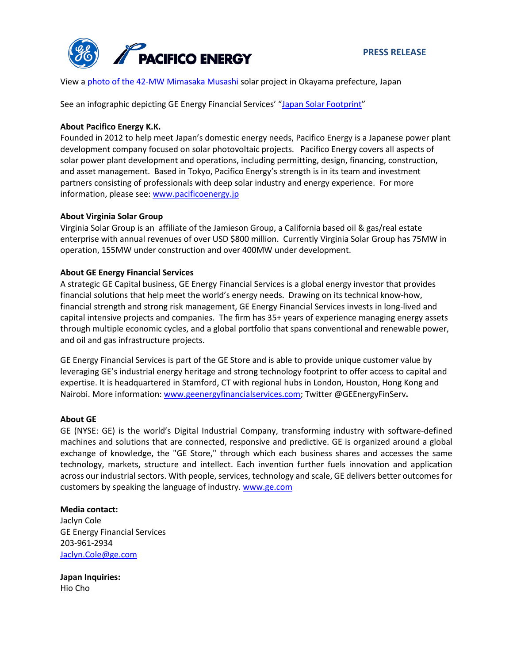

View a photo [of the 42-MW Mimasaka Musashi](http://geenergyfinancialservices.com/img/press-releases/Mimasaka.JPG) solar project in Okayama prefecture, Japan

See an infographic depicting GE Energy Financial Services' ["Japan Solar Footprint"](http://geenergyfinancialservices.com/img/press-releases/Japan%20V2.jpg)

## **About Pacifico Energy K.K.**

Founded in 2012 to help meet Japan's domestic energy needs, Pacifico Energy is a Japanese power plant development company focused on solar photovoltaic projects. Pacifico Energy covers all aspects of solar power plant development and operations, including permitting, design, financing, construction, and asset management. Based in Tokyo, Pacifico Energy's strength is in its team and investment partners consisting of professionals with deep solar industry and energy experience. For more information, please see: [www.pacificoenergy.jp](http://www.pacificoenergy.jp/)

## **About Virginia Solar Group**

Virginia Solar Group is an affiliate of the Jamieson Group, a California based oil & gas/real estate enterprise with annual revenues of over USD \$800 million. Currently Virginia Solar Group has 75MW in operation, 155MW under construction and over 400MW under development.

# **About GE Energy Financial Services**

A strategic GE Capital business, GE Energy Financial Services is a global energy investor that provides financial solutions that help meet the world's energy needs. Drawing on its technical know-how, financial strength and strong risk management, GE Energy Financial Services invests in long-lived and capital intensive projects and companies. The firm has 35+ years of experience managing energy assets through multiple economic cycles, and a global portfolio that spans conventional and renewable power, and oil and gas infrastructure projects.

GE Energy Financial Services is part of the GE Store and is able to provide unique customer value by leveraging GE's industrial energy heritage and strong technology footprint to offer access to capital and expertise. It is headquartered in Stamford, CT with regional hubs in London, Houston, Hong Kong and Nairobi. More information[: www.geenergyfinancialservices.com;](http://www.geenergyfinancialservices.com/) Twitter @GEEnergyFinServ**.**

### **About GE**

GE (NYSE: GE) is the world's Digital Industrial Company, transforming industry with software-defined machines and solutions that are connected, responsive and predictive. GE is organized around a global exchange of knowledge, the "GE Store," through which each business shares and accesses the same technology, markets, structure and intellect. Each invention further fuels innovation and application across our industrial sectors. With people, services, technology and scale, GE delivers better outcomes for customers by speaking the language of industry. [www.ge.com](http://www.ge.com/)

### **Media contact:**

Jaclyn Cole GE Energy Financial Services 203-961-2934 [Jaclyn.Cole@ge.com](mailto:Jaclyn.Cole@ge.com)

**Japan Inquiries:** Hio Cho